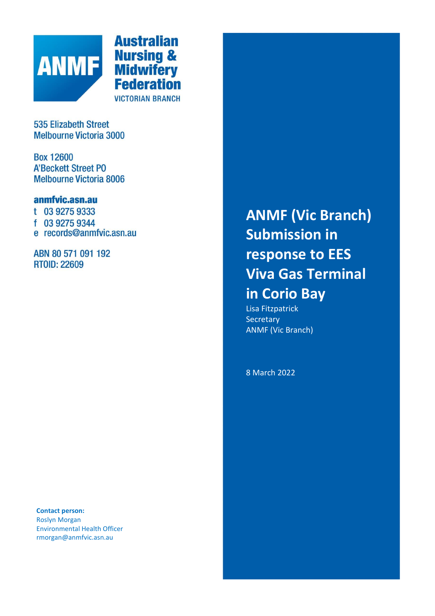

**Australian Nursing &<br>Midwifery<br>Federation VICTORIAN BRANCH** 

**535 Elizabeth Street Melbourne Victoria 3000** 

**Box 12600 A'Beckett Street PO Melbourne Victoria 8006** 

# anmfvic.asn.au

t 03 9275 9333 f 03 9275 9344 e records@anmfvic.asn.au

ABN 80 571 091 192 **RTOID: 22609** 

**Contact person:** Roslyn Morgan Environmental Health Officer rmorgan@anmfvic.asn.au

**ANMF (Vic Branch) Submission in response to EES Viva Gas Terminal in Corio Bay**

Lisa Fitzpatrick **Secretary** ANMF (Vic Branch)

8 March 2022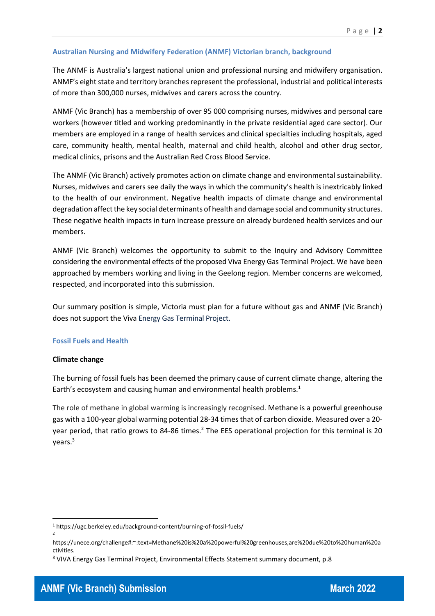## **Australian Nursing and Midwifery Federation (ANMF) Victorian branch, background**

The ANMF is Australia's largest national union and professional nursing and midwifery organisation. ANMF's eight state and territory branches represent the professional, industrial and political interests of more than 300,000 nurses, midwives and carers across the country.

ANMF (Vic Branch) has a membership of over 95 000 comprising nurses, midwives and personal care workers (however titled and working predominantly in the private residential aged care sector). Our members are employed in a range of health services and clinical specialties including hospitals, aged care, community health, mental health, maternal and child health, alcohol and other drug sector, medical clinics, prisons and the Australian Red Cross Blood Service.

The ANMF (Vic Branch) actively promotes action on climate change and environmental sustainability. Nurses, midwives and carers see daily the ways in which the community's health is inextricably linked to the health of our environment. Negative health impacts of climate change and environmental degradation affect the key social determinants of health and damage social and community structures. These negative health impacts in turn increase pressure on already burdened health services and our members.

ANMF (Vic Branch) welcomes the opportunity to submit to the Inquiry and Advisory Committee considering the environmental effects of the proposed Viva Energy Gas Terminal Project. We have been approached by members working and living in the Geelong region. Member concerns are welcomed, respected, and incorporated into this submission.

Our summary position is simple, Victoria must plan for a future without gas and ANMF (Vic Branch) does not support the Viva Energy Gas Terminal Project.

## **Fossil Fuels and Health**

## **Climate change**

The burning of fossil fuels has been deemed the primary cause of current climate change, altering the Earth's ecosystem and causing human and environmental health problems.<sup>1</sup>

The role of methane in global warming is increasingly recognised. Methane is a powerful greenhouse gas with a 100-year global warming potential 28-34 times that of carbon dioxide. Measured over a 20 year period, that ratio grows to 84-86 times.<sup>2</sup> The EES operational projection for this terminal is 20 years.<sup>3</sup>

<sup>1</sup> https://ugc.berkeley.edu/background-content/burning-of-fossil-fuels/

<sup>2</sup>

https://unece.org/challenge#:~:text=Methane%20is%20a%20powerful%20greenhouses,are%20due%20to%20human%20a ctivities.

<sup>3</sup> VIVA Energy Gas Terminal Project, Environmental Effects Statement summary document, p.8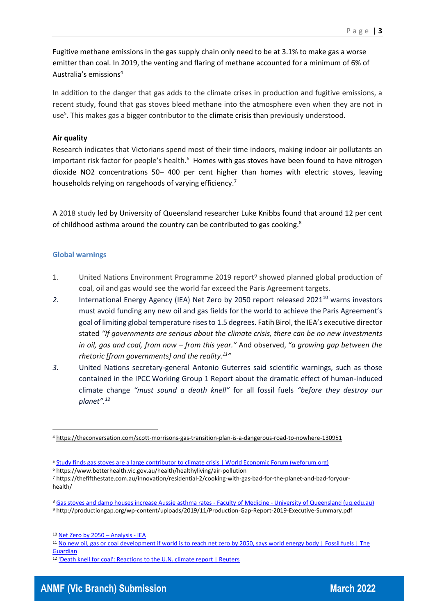Fugitive methane emissions in the gas supply chain only need to be at [3.1% to make gas a worse](https://www.bloomberg.com/news/articles/2020-01-23/gas-exports-have-dirty-secret-a-carbon-footprint-rivaling-coal-s)  [emitter than coal.](https://www.bloomberg.com/news/articles/2020-01-23/gas-exports-have-dirty-secret-a-carbon-footprint-rivaling-coal-s) In 2019, the venting and flaring of methane accounted for a minimum of 6% of Australia's emissions<sup>4</sup>

In addition to the danger that gas adds to the climate crises in production and fugitive emissions, a recent study, found that gas stoves bleed methane into the atmosphere even when they are not in use<sup>5</sup>. This makes gas a bigger contributor to the climate crisis than previously understood.

## **Air quality**

Research indicates that Victorians spend most of their time indoors, making indoor air pollutants an important risk factor for people's health.<sup>6</sup> Homes with gas stoves have been found to have nitrogen dioxide NO2 concentrations 50– 400 per cent higher than homes with electric stoves, leaving households relying on rangehoods of varying efficiency.<sup>7</sup>

A 2018 study led by University of Queensland researcher Luke Knibbs found that around 12 per cent of childhood asthma around the country can be contributed to gas cooking.<sup>8</sup>

### **Global warnings**

- 1. United Nations Environment Programme 2019 report<sup>9</sup> showed planned global production of coal, oil and gas would see the world far exceed the Paris Agreement targets.
- 2. International Energy Agency (IEA) Net Zero by 2050 report released 2021<sup>10</sup> warns investors must avoid funding any new oil and gas fields for the world to achieve the Paris Agreement's goal of limiting global temperature rises to 1.5 degrees. Fatih Birol, the IEA's executive director stated *"If governments are serious about the climate crisis, there can be no new investments in oil, gas and coal, from now – from this year."* And observed, *"a growing gap between the rhetoric [from governments] and the reality.<sup>11</sup> "*
- *3.* United Nations secretary-general Antonio Guterres said scientific warnings, such as those contained in the IPCC Working Group 1 Report about the dramatic effect of human-induced climate change *"must sound a death knell"* for all fossil fuels *"before they destroy our planet".<sup>12</sup>*

8 [Gas stoves and damp houses increase Aussie asthma rates -](https://medicine.uq.edu.au/article/2018/04/gas-stoves-and-damp-houses-increase-aussie-asthma-rates) Faculty of Medicine - University of Queensland (uq.edu.au) <sup>9</sup> <http://productiongap.org/wp-content/uploads/2019/11/Production-Gap-Report-2019-Executive-Summary.pdf>

<sup>4</sup> <https://theconversation.com/scott-morrisons-gas-transition-plan-is-a-dangerous-road-to-nowhere-130951>

<sup>5</sup> [Study finds gas stoves are a large contributor to climate crisis | World Economic Forum \(weforum.org\)](https://www.weforum.org/agenda/2022/02/gas-stoves-climate-change-study-methane/)

<sup>6</sup> https://www.betterhealth.vic.gov.au/health/healthyliving/air-pollution

<sup>7</sup> https://thefifthestate.com.au/innovation/residential‐2/cooking‐with‐gas‐bad‐for‐the‐planet‐and‐bad‐foryour‐ health/

<sup>10</sup> [Net Zero by 2050](https://www.iea.org/reports/net-zero-by-2050) - Analysis - IEA

<sup>11</sup> No new oil, gas or coal development if world is to reach net zero by 2050, says world energy body | Fossil fuels | The [Guardian](https://www.theguardian.com/environment/2021/may/18/no-new-investment-in-fossil-fuels-demands-top-energy-economist)

<sup>&</sup>lt;sup>12</sup> ['Death knell for coal': Reactions to the U.N. climate report | Reuters](https://www.reuters.com/business/environment/what-they-said-about-code-red-un-climate-science-report-2021-08-09/)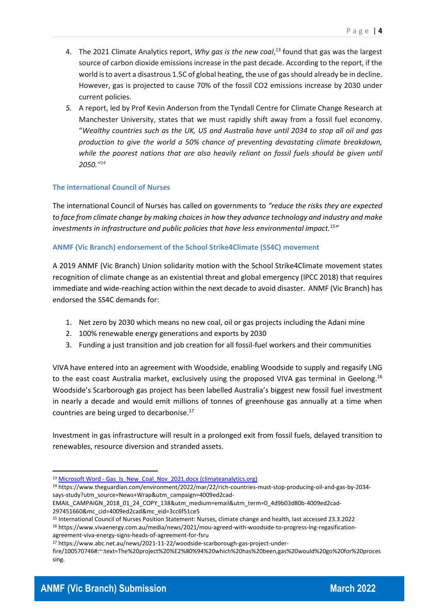- 4. The 2021 Climate Analytics report, *Why gas is the new coal*, <sup>13</sup> found that gas was the largest source of carbon dioxide emissions increase in the past decade. According to the report, if the world is to avert a disastrous 1.5C of global heating, the use of gas should already be in decline. However, gas is projected to cause 70% of the fossil CO2 emissions increase by 2030 under current policies.
- *5.* A report, led by Prof Kevin Anderson from the Tyndall Centre for Climate Change Research at Manchester University, states that we must rapidly shift away from a fossil fuel economy. "*Wealthy countries such as the UK, US and Australia have until 2034 to stop all oil and gas production to give the world a 50% chance of preventing devastating climate breakdown,*  while the poorest nations that are also heavily reliant on fossil fuels should be given until *2050." 14*

## **The international Council of Nurses**

The international Council of Nurses has called on governments to *"reduce the risks they are expected to face from climate change by making choices in how they advance technology and industry and make investments in infrastructure and public policies that have less environmental impact.<sup>15</sup> "*

# **ANMF (Vic Branch) endorsement of the School Strike4Climate (SS4C) movement**

A 2019 ANMF (Vic Branch) Union solidarity motion with the School Strike4Climate movement states recognition of climate change as an existential threat and global emergency (IPCC 2018) that requires immediate and wide-reaching action within the next decade to avoid disaster. ANMF (Vic Branch) has endorsed the SS4C demands for:

- 1. Net zero by 2030 which means no new coal, oil or gas projects including the Adani mine
- 2. 100% renewable energy generations and exports by 2030
- 3. Funding a just transition and job creation for all fossil-fuel workers and their communities

VIVA have entered into an agreement with Woodside, enabling Woodside to supply and regasify LNG to the east coast Australia market, exclusively using the proposed VIVA gas terminal in Geelong.<sup>16</sup> Woodside's Scarborough gas project has been labelled Australia's biggest new fossil fuel investment in nearly a decade and would emit millions of tonnes of greenhouse gas annually at a time when countries are being urged to decarbonise.<sup>17</sup>

Investment in gas infrastructure will result in a prolonged exit from fossil fuels, delayed transition to renewables, resource diversion and stranded assets.

<sup>&</sup>lt;sup>13</sup> Microsoft Word - [Gas\\_Is\\_New\\_Coal\\_Nov\\_2021.docx \(climateanalytics.org\)](https://climateanalytics.org/media/gas_is_new_coal_nov_2021_1_1.pdf)

<sup>14</sup> https://www.theguardian.com/environment/2022/mar/22/rich-countries-must-stop-producing-oil-and-gas-by-2034 says-study?utm\_source=News+Wrap&utm\_campaign=4009ed2cad-

EMAIL\_CAMPAIGN\_2018\_01\_24\_COPY\_138&utm\_medium=email&utm\_term=0\_4d9b03d80b-4009ed2cad-297451660&mc\_cid=4009ed2cad&mc\_eid=3cc6f51ce5

<sup>15</sup> International Council of Nurses Position Statement: Nurses, climate change and health, last accessed 23.3.2022 <sup>16</sup> https://www.vivaenergy.com.au/media/news/2021/mou-agreed-with-woodside-to-progress-lng-regasification-

agreement-viva-energy-signs-heads-of-agreement-for-fsru

<sup>17</sup> https://www.abc.net.au/news/2021-11-22/woodside-scarborough-gas-project-under-

fire/100570746#:~:text=The%20project%20%E2%80%94%20which%20has%20been,gas%20would%20go%20for%20proces sing.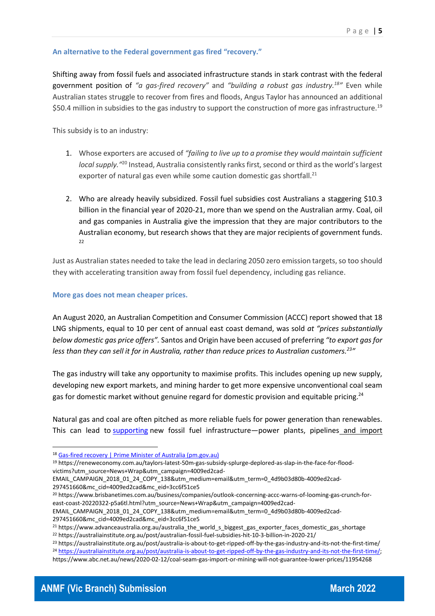## **An alternative to the Federal government gas fired "recovery."**

Shifting away from fossil fuels and associated infrastructure stands in stark contrast with the federal government position of *"a gas-fired recovery"* and *"building a robust gas industry. <sup>18</sup>"* Even while Australian states struggle to recover from fires and floods, Angus Taylor has announced an additional \$50.4 million in subsidies to the gas industry to support the construction of more gas infrastructure.<sup>19</sup>

This subsidy is to an industry:

- 1. Whose exporters are accused of *"failing to live up to a promise they would maintain sufficient*  local supply.<sup>"20</sup> Instead, Australia consistently ranks first, second or third as the world's largest exporter of natural gas even while some caution domestic gas shortfall.<sup>21</sup>
- 2. Who are already heavily subsidized. Fossil fuel subsidies cost Australians a staggering \$10.3 billion in the financial year of 2020-21, more than we spend on the Australian army. Coal, oil and gas companies in Australia give the impression that they are major contributors to the Australian economy, but research shows that they are major recipients of government funds. 22

Just as Australian states needed to take the lead in declaring 2050 zero emission targets, so too should they with accelerating transition away from fossil fuel dependency, including gas reliance.

### **More gas does not mean cheaper prices.**

An August 2020, an Australian Competition and Consumer Commission (ACCC) report showed that 18 LNG shipments, equal to 10 per cent of annual east coast demand, was sold *at "prices substantially below domestic gas price offers".* Santos and Origin have been accused of preferring *"to export gas for less than they can sell it for in Australia, rather than reduce prices to Australian customers.<sup>23</sup> "*

The gas industry will take any opportunity to maximise profits. This includes opening up new supply, developing new export markets, and mining harder to get more expensive unconventional coal seam gas for domestic market without genuine regard for domestic provision and equitable pricing.<sup>24</sup>

Natural gas and coal are often pitched as more reliable fuels for power generation than renewables. This can lead to [supporti](https://ieefa.org/ieefa-emerging-asias-unrealistic-lng-to-power-project-pipeline-threatens-macroeconomic-and-financial-stability/)ng new fossil fuel infrastructure—power plants, pipelines and import

EMAIL\_CAMPAIGN\_2018\_01\_24\_COPY\_138&utm\_medium=email&utm\_term=0\_4d9b03d80b-4009ed2cad-297451660&mc\_cid=4009ed2cad&mc\_eid=3cc6f51ce5

<sup>20</sup> https://www.brisbanetimes.com.au/business/companies/outlook-concerning-accc-warns-of-looming-gas-crunch-foreast-coast-20220322-p5a6tl.html?utm\_source=News+Wrap&utm\_campaign=4009ed2cad-

<sup>18</sup> [Gas-fired recovery | Prime Minister of Australia \(pm.gov.au\)](https://www.pm.gov.au/media/gas-fired-recovery)

<sup>19</sup> https://reneweconomy.com.au/taylors-latest-50m-gas-subsidy-splurge-deplored-as-slap-in-the-face-for-floodvictims?utm\_source=News+Wrap&utm\_campaign=4009ed2cad-

EMAIL\_CAMPAIGN\_2018\_01\_24\_COPY\_138&utm\_medium=email&utm\_term=0\_4d9b03d80b-4009ed2cad-297451660&mc\_cid=4009ed2cad&mc\_eid=3cc6f51ce5

<sup>&</sup>lt;sup>21</sup> https://www.advanceaustralia.org.au/australia\_the\_world\_s\_biggest\_gas\_exporter\_faces\_domestic\_gas\_shortage <sup>22</sup> https://australiainstitute.org.au/post/australian-fossil-fuel-subsidies-hit-10-3-billion-in-2020-21/

<sup>23</sup> https://australiainstitute.org.au/post/australia-is-about-to-get-ripped-off-by-the-gas-industry-and-its-not-the-first-time/ <sup>24</sup> [https://australiainstitute.org.au/post/australia-is-about-to-get-ripped-off-by-the-gas-industry-and-its-not-the-first-time/;](https://australiainstitute.org.au/post/australia-is-about-to-get-ripped-off-by-the-gas-industry-and-its-not-the-first-time/)  https://www.abc.net.au/news/2020-02-12/coal-seam-gas-import-or-mining-will-not-guarantee-lower-prices/11954268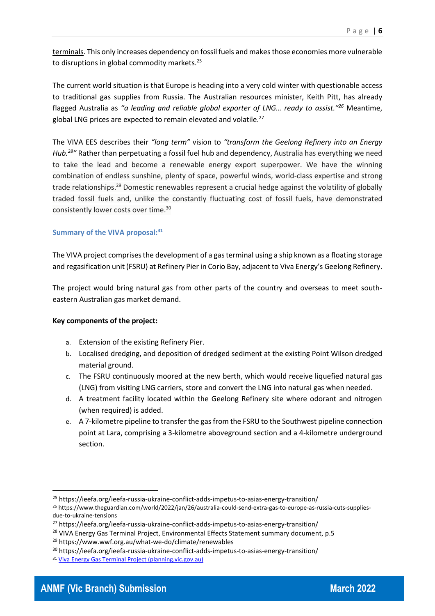terminals. This only increases dependency on fossil fuels and makes those economies more vulnerable to disruptions in global commodity markets.<sup>25</sup>

The current world situation is that Europe is heading into a very cold winter with questionable access to traditional gas supplies from Russia. The Australian resources minister, Keith Pitt, has already flagged Australia as *"a leading and reliable global exporter of LNG… ready to assist."<sup>26</sup>* Meantime, global LNG prices are expected to remain elevated and volatile.<sup>27</sup>

The VIVA EES describes their *"long term"* vision to *"transform the Geelong Refinery into an Energy Hub.<sup>28</sup> "* Rather than perpetuating a fossil fuel hub and dependency, Australia has everything we need to take the lead and become a renewable energy export superpower. We have the winning combination of endless sunshine, plenty of space, powerful winds, world-class expertise and strong trade relationships.<sup>29</sup> Domestic renewables represent a crucial hedge against the volatility of globally traded fossil fuels and, unlike the constantly fluctuating cost of fossil fuels, have demonstrated consistently lower costs over time.<sup>30</sup>

# **Summary of the VIVA proposal:<sup>31</sup>**

The VIVA project comprises the development of a gas terminal using a ship known as a floating storage and regasification unit (FSRU) at Refinery Pier in Corio Bay, adjacent to Viva Energy's Geelong Refinery.

The project would bring natural gas from other parts of the country and overseas to meet southeastern Australian gas market demand.

## **Key components of the project:**

- a. Extension of the existing Refinery Pier.
- b. Localised dredging, and deposition of dredged sediment at the existing Point Wilson dredged material ground.
- c. The FSRU continuously moored at the new berth, which would receive liquefied natural gas (LNG) from visiting LNG carriers, store and convert the LNG into natural gas when needed.
- d. A treatment facility located within the Geelong Refinery site where odorant and nitrogen (when required) is added.
- e. A 7-kilometre pipeline to transfer the gas from the FSRU to the Southwest pipeline connection point at Lara, comprising a 3-kilometre aboveground section and a 4-kilometre underground section.

<sup>25</sup> https://ieefa.org/ieefa-russia-ukraine-conflict-adds-impetus-to-asias-energy-transition/

<sup>26</sup> https://www.theguardian.com/world/2022/jan/26/australia-could-send-extra-gas-to-europe-as-russia-cuts-suppliesdue-to-ukraine-tensions

<sup>27</sup> https://ieefa.org/ieefa-russia-ukraine-conflict-adds-impetus-to-asias-energy-transition/

<sup>&</sup>lt;sup>28</sup> VIVA Energy Gas Terminal Project, Environmental Effects Statement summary document, p.5

<sup>29</sup> https://www.wwf.org.au/what-we-do/climate/renewables

<sup>30</sup> https://ieefa.org/ieefa-russia-ukraine-conflict-adds-impetus-to-asias-energy-transition/

<sup>31</sup> [Viva Energy Gas Terminal Project \(planning.vic.gov.au\)](https://www.planning.vic.gov.au/environment-assessment/browse-projects/projects/viva-energy-gas-terminal-project)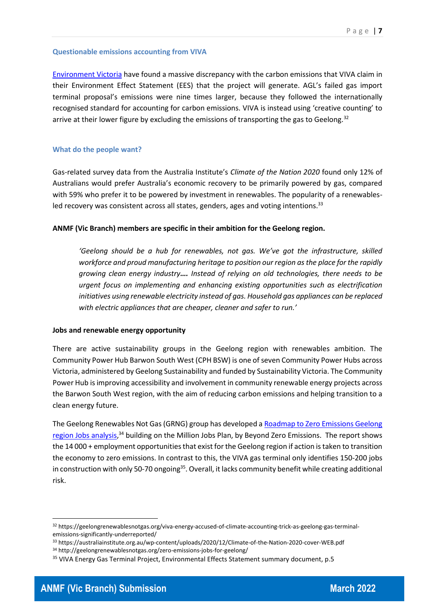## **Questionable emissions accounting from VIVA**

[Environment Victoria](https://environmentvictoria.org.au/2022/02/28/viva-energy-accused-of-climate-accounting-trick-as-geelong-gas-terminal-emissions-significantly-underreported/) have found a massive discrepancy with the carbon emissions that VIVA claim in their Environment Effect Statement (EES) that the project will generate. AGL's failed gas import terminal proposal's emissions were nine times larger, because they followed the internationally recognised standard for accounting for carbon emissions. VIVA is instead using 'creative counting' to arrive at their lower figure by excluding the emissions of transporting the gas to Geelong.<sup>32</sup>

### **What do the people want?**

Gas-related survey data from the Australia Institute's *Climate of the Nation 2020* found only 12% of Australians would prefer Australia's economic recovery to be primarily powered by gas, compared with 59% who prefer it to be powered by investment in renewables. The popularity of a renewablesled recovery was consistent across all states, genders, ages and voting intentions.<sup>33</sup>

### **ANMF (Vic Branch) members are specific in their ambition for the Geelong region.**

*'Geelong should be a hub for renewables, not gas. We've got the infrastructure, skilled workforce and proud manufacturing heritage to position our region as the place for the rapidly growing clean energy industry…. Instead of relying on old technologies, there needs to be urgent focus on implementing and enhancing existing opportunities such as electrification initiatives using renewable electricity instead of gas. Household gas appliances can be replaced with electric appliances that are cheaper, cleaner and safer to run.'*

#### **Jobs and renewable energy opportunity**

There are active sustainability groups in the Geelong region with renewables ambition. The Community Power Hub Barwon South West (CPH BSW) is one of seven Community Power Hubs across Victoria, administered by Geelong Sustainability and funded by Sustainability Victoria. The Community Power Hub is improving accessibility and involvement in community renewable energy projects across the Barwon South West region, with the aim of reducing carbon emissions and helping transition to a clean energy future.

The Geelong Renewables Not Gas (GRNG) group has developed a Roadmap to Zero Emissions Geelong [region Jobs analysis,](https://protect-au.mimecast.com/s/Acu9Cvl0KKf5N1AIoIbgm?domain=geelongrenewablesnotgas.org/)<sup>34</sup> building on the Million Jobs Plan, by Beyond Zero Emissions. The report shows the 14 000 + employment opportunities that exist for the Geelong region if action is taken to transition the economy to zero emissions. In contrast to this, the VIVA gas terminal only identifies 150-200 jobs in construction with only 50-70 ongoing<sup>35</sup>. Overall, it lacks community benefit while creating additional risk.

<sup>32</sup> https://geelongrenewablesnotgas.org/viva-energy-accused-of-climate-accounting-trick-as-geelong-gas-terminalemissions-significantly-underreported/

<sup>33</sup> https://australiainstitute.org.au/wp-content/uploads/2020/12/Climate-of-the-Nation-2020-cover-WEB.pdf

<sup>34</sup> http://geelongrenewablesnotgas.org/zero-emissions-jobs-for-geelong/

<sup>&</sup>lt;sup>35</sup> VIVA Energy Gas Terminal Project, Environmental Effects Statement summary document, p.5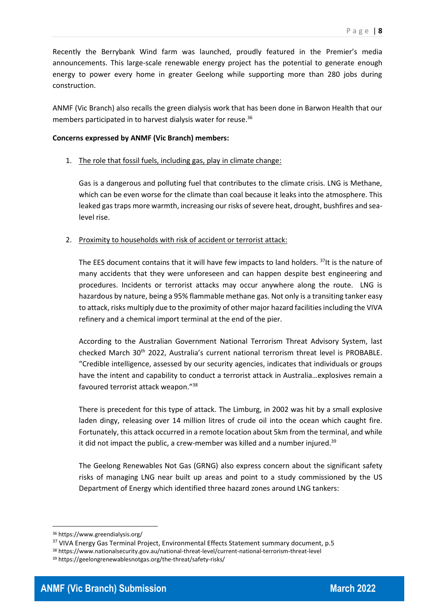Recently the Berrybank Wind farm was launched, proudly featured in the Premier's media announcements. This large-scale renewable energy project has the potential to generate enough energy to power every home in greater Geelong while supporting more than 280 jobs during construction.

ANMF (Vic Branch) also recalls the green dialysis work that has been done in Barwon Health that our members participated in to harvest dialysis water for reuse.<sup>36</sup>

## **Concerns expressed by ANMF (Vic Branch) members:**

1. The role that fossil fuels, including gas, play in climate change:

Gas is a dangerous and polluting fuel that contributes to the climate crisis. LNG is Methane, which can be even worse for the climate than coal because it leaks into the atmosphere. This leaked gas traps more warmth, increasing our risks of severe heat, drought, bushfires and sealevel rise.

2. Proximity to households with risk of accident or terrorist attack:

The EES document contains that it will have few impacts to land holders.  $37$  It is the nature of many accidents that they were unforeseen and can happen despite best engineering and procedures. Incidents or terrorist attacks may occur anywhere along the route. LNG is hazardous by nature, being a 95% flammable methane gas. Not only is a transiting tanker easy to attack, risks multiply due to the proximity of other major hazard facilities including the VIVA refinery and a chemical import terminal at the end of the pier.

According to the Australian Government National Terrorism Threat Advisory System, last checked March 30<sup>th</sup> 2022, Australia's current national terrorism threat level is PROBABLE. "Credible intelligence, assessed by our security agencies, indicates that individuals or groups have the intent and capability to conduct a terrorist attack in Australia…explosives remain a favoured terrorist attack weapon."<sup>38</sup>

There is precedent for this type of attack. The Limburg, in 2002 was hit by a small explosive laden dingy, releasing over 14 million litres of crude oil into the ocean which caught fire. Fortunately, this attack occurred in a remote location about 5km from the terminal, and while it did not impact the public, a crew-member was killed and a number injured.<sup>39</sup>

The Geelong Renewables Not Gas (GRNG) also express concern about the significant safety risks of managing LNG near built up areas and point to a study commissioned by the US Department of Energy which identified three hazard zones around LNG tankers:

<sup>36</sup> https://www.greendialysis.org/

<sup>&</sup>lt;sup>37</sup> VIVA Energy Gas Terminal Project, Environmental Effects Statement summary document, p.5

<sup>38</sup> https://www.nationalsecurity.gov.au/national-threat-level/current-national-terrorism-threat-level

<sup>39</sup> https://geelongrenewablesnotgas.org/the-threat/safety-risks/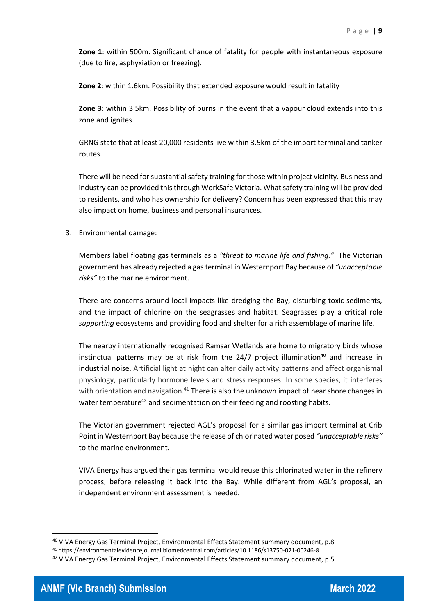**Zone 1**: within 500m. Significant chance of fatality for people with instantaneous exposure (due to fire, asphyxiation or freezing).

**Zone 2**: within 1.6km. Possibility that extended exposure would result in fatality

**Zone 3**: within 3.5km. Possibility of burns in the event that a vapour cloud extends into this zone and ignites.

GRNG state that at least 20,000 residents live within 3**.**5km of the import terminal and tanker routes.

There will be need for substantial safety training for those within project vicinity. Business and industry can be provided this through WorkSafe Victoria. What safety training will be provided to residents, and who has ownership for delivery? Concern has been expressed that this may also impact on home, business and personal insurances.

3. Environmental damage:

Members label floating gas terminals as a *"threat to marine life and fishing."* The Victorian government has already rejected a gas terminal in Westernport Bay because of *"unacceptable risks"* to the marine environment.

There are concerns around local impacts like dredging the Bay, disturbing toxic sediments, and the impact of chlorine on the seagrasses and habitat. Seagrasses play a critical role *supporting* ecosystems and providing food and shelter for a rich assemblage of marine life.

The nearby internationally recognised Ramsar Wetlands are home to migratory birds whose instinctual patterns may be at risk from the  $24/7$  project illumination<sup>40</sup> and increase in industrial noise. Artificial light at night can alter daily activity patterns and affect organismal physiology, particularly hormone levels and stress responses. In some species, it interferes with orientation and navigation.<sup>41</sup> There is also the unknown impact of near shore changes in water temperature<sup>42</sup> and sedimentation on their feeding and roosting habits.

The Victorian government rejected AGL's proposal for a similar gas import terminal at Crib Point in Westernport Bay because the release of chlorinated water posed *"unacceptable risks"* to the marine environment.

VIVA Energy has argued their gas terminal would reuse this chlorinated water in the refinery process, before releasing it back into the Bay. While different from AGL's proposal, an independent environment assessment is needed.

<sup>40</sup> VIVA Energy Gas Terminal Project, Environmental Effects Statement summary document, p.8

<sup>41</sup> https://environmentalevidencejournal.biomedcentral.com/articles/10.1186/s13750-021-00246-8

<sup>&</sup>lt;sup>42</sup> VIVA Energy Gas Terminal Project, Environmental Effects Statement summary document, p.5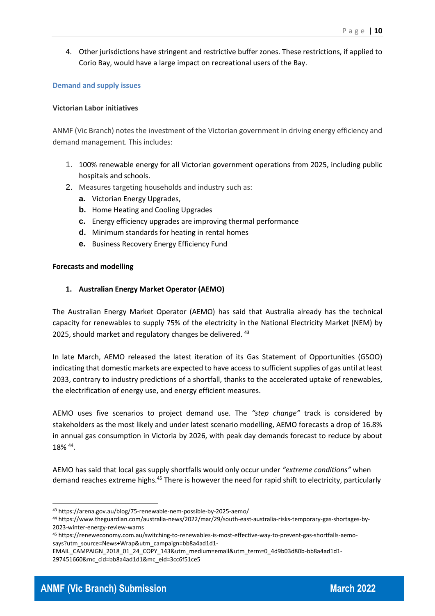4. Other jurisdictions have stringent and restrictive buffer zones. These restrictions, if applied to Corio Bay, would have a large impact on recreational users of the Bay.

### **Demand and supply issues**

### **Victorian Labor initiatives**

ANMF (Vic Branch) notes the investment of the Victorian government in driving energy efficiency and demand management. This includes:

- 1. 100% renewable energy for all Victorian government operations from 2025, including public hospitals and schools.
- 2. Measures targeting households and industry such as:
	- **a.** Victorian Energy Upgrades,
	- **b.** Home Heating and Cooling Upgrades
	- **c.** Energy efficiency upgrades are improving thermal performance
	- **d.** Minimum standards for heating in rental homes
	- **e.** Business Recovery Energy Efficiency Fund

### **Forecasts and modelling**

## **1. Australian Energy Market Operator (AEMO)**

The Australian Energy Market Operator (AEMO) has said that Australia already has the technical capacity for renewables to supply 75% of the electricity in the National Electricity Market (NEM) by 2025, should market and regulatory changes be delivered. <sup>43</sup>

In late March, AEMO released the latest iteration of its Gas Statement of Opportunities (GSOO) indicating that domestic markets are expected to have access to sufficient supplies of gas until at least 2033, contrary to industry predictions of a shortfall, thanks to the accelerated uptake of renewables, the electrification of energy use, and energy efficient measures.

AEMO uses five scenarios to project demand use. The *"step change"* track is considered by stakeholders as the most likely and under latest scenario modelling, AEMO forecasts a drop of 16.8% in annual gas consumption in Victoria by 2026, with peak day demands forecast to reduce by about 18% <sup>44</sup> .

AEMO has said that local gas supply shortfalls would only occur under *"extreme conditions"* when demand reaches extreme highs.<sup>45</sup> There is however the need for rapid shift to electricity, particularly

<sup>43</sup> https://arena.gov.au/blog/75-renewable-nem-possible-by-2025-aemo/

<sup>44</sup> https://www.theguardian.com/australia-news/2022/mar/29/south-east-australia-risks-temporary-gas-shortages-by-2023-winter-energy-review-warns

<sup>45</sup> https://reneweconomy.com.au/switching-to-renewables-is-most-effective-way-to-prevent-gas-shortfalls-aemosays?utm\_source=News+Wrap&utm\_campaign=bb8a4ad1d1-

EMAIL\_CAMPAIGN\_2018\_01\_24\_COPY\_143&utm\_medium=email&utm\_term=0\_4d9b03d80b-bb8a4ad1d1-297451660&mc\_cid=bb8a4ad1d1&mc\_eid=3cc6f51ce5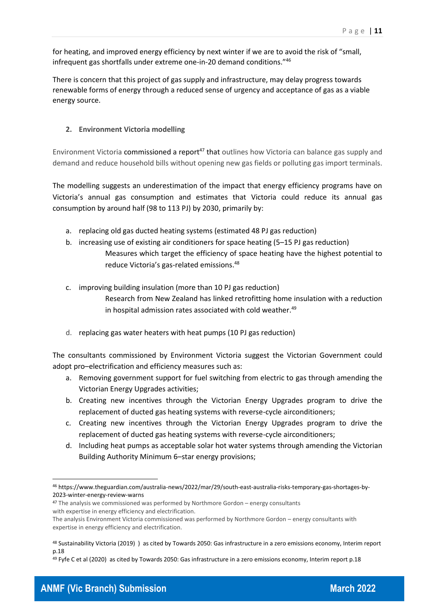for heating, and improved energy efficiency by next winter if we are to avoid the risk of "small, infrequent gas shortfalls under extreme one-in-20 demand conditions."<sup>46</sup>

There is concern that this project of gas supply and infrastructure, may delay progress towards renewable forms of energy through a reduced sense of urgency and acceptance of gas as a viable energy source.

## **2. Environment Victoria modelling**

Environment Victoria commissioned a report<sup>47</sup> that outlines how Victoria can balance gas supply and demand and reduce household bills without opening new gas fields or polluting gas import terminals.

The modelling suggests an underestimation of the impact that energy efficiency programs have on Victoria's annual gas consumption and estimates that Victoria could reduce its annual gas consumption by around half (98 to 113 PJ) by 2030, primarily by:

- a. replacing old gas ducted heating systems (estimated 48 PJ gas reduction)
- b. increasing use of existing air conditioners for space heating (5–15 PJ gas reduction) Measures which target the efficiency of space heating have the highest potential to reduce Victoria's gas-related emissions.<sup>48</sup>
- c. improving building insulation (more than 10 PJ gas reduction) Research from New Zealand has linked retrofitting home insulation with a reduction in hospital admission rates associated with cold weather. 49
- d. replacing gas water heaters with heat pumps (10 PJ gas reduction)

The consultants commissioned by Environment Victoria suggest the Victorian Government could adopt pro–electrification and efficiency measures such as:

- a. Removing government support for fuel switching from electric to gas through amending the Victorian Energy Upgrades activities;
- b. Creating new incentives through the Victorian Energy Upgrades program to drive the replacement of ducted gas heating systems with reverse-cycle airconditioners;
- c. Creating new incentives through the Victorian Energy Upgrades program to drive the replacement of ducted gas heating systems with reverse-cycle airconditioners;
- d. Including heat pumps as acceptable solar hot water systems through amending the Victorian Building Authority Minimum 6–star energy provisions;

<sup>46</sup> https://www.theguardian.com/australia-news/2022/mar/29/south-east-australia-risks-temporary-gas-shortages-by-2023-winter-energy-review-warns

<sup>47</sup> The analysis we commissioned was performed by Northmore Gordon – energy consultants with expertise in energy efficiency and electrification.

The analysis Environment Victoria commissioned was performed by Northmore Gordon – energy consultants with expertise in energy efficiency and electrification.

<sup>48</sup> Sustainability Victoria (2019) ) as cited by Towards 2050: Gas infrastructure in a zero emissions economy, Interim report p.18

<sup>49</sup> Fyfe C et al (2020) as cited by Towards 2050: Gas infrastructure in a zero emissions economy, Interim report p.18